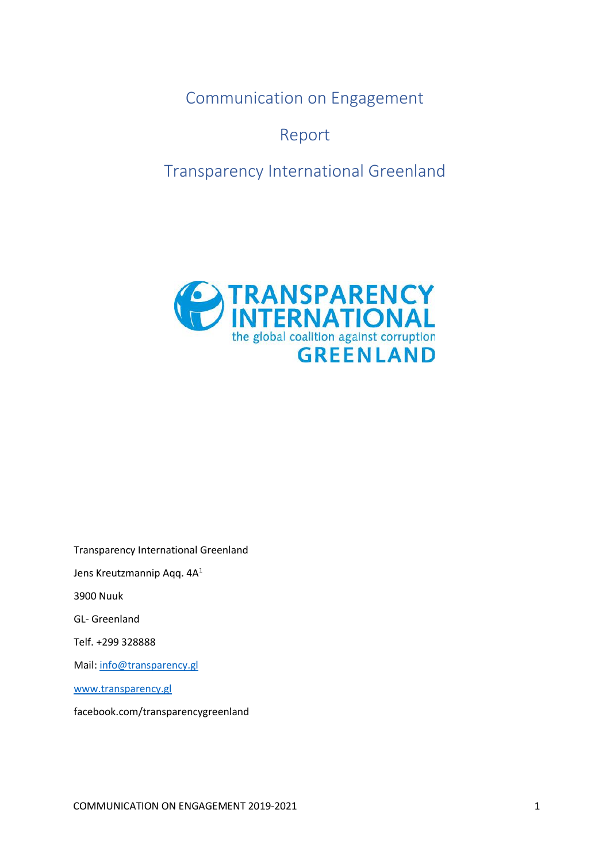<span id="page-0-0"></span>Communication on Engagement

Report

<span id="page-0-2"></span><span id="page-0-1"></span>Transparency International Greenland



Transparency International Greenland Jens Kreutzmannip Aqq. 4A<sup>1</sup> 3900 Nuuk GL- Greenland Telf. +299 328888 Mail: [info@transparency.gl](mailto:info@transparency.gl) [www.transparency.gl](http://www.transparency.gl/) facebook.com/transparencygreenland

COMMUNICATION ON ENGAGEMENT 2019-2021 1 1 1 2010 1 2010 1 2010 1 2010 1 2010 1 2010 1 2010 1 2010 1 2010 1 2010 1 2010 1 2010 1 2010 1 2010 1 2010 1 2010 1 2010 1 2010 1 2010 1 2010 1 2010 1 2010 1 2010 1 2010 1 2010 1 201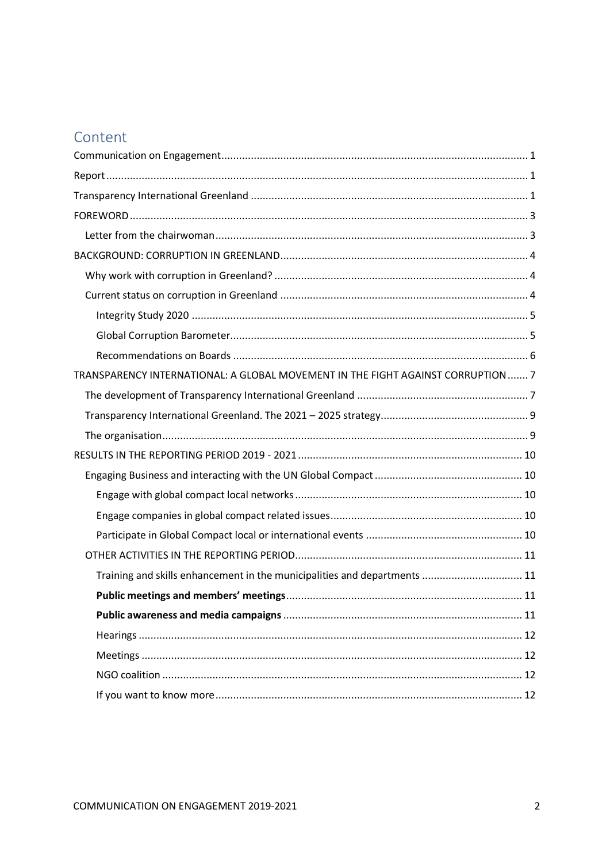# Content

| TRANSPARENCY INTERNATIONAL: A GLOBAL MOVEMENT IN THE FIGHT AGAINST CORRUPTION  7 |  |
|----------------------------------------------------------------------------------|--|
|                                                                                  |  |
|                                                                                  |  |
|                                                                                  |  |
|                                                                                  |  |
|                                                                                  |  |
|                                                                                  |  |
|                                                                                  |  |
|                                                                                  |  |
|                                                                                  |  |
|                                                                                  |  |
| Training and skills enhancement in the municipalities and departments  11        |  |
|                                                                                  |  |
|                                                                                  |  |
|                                                                                  |  |
|                                                                                  |  |
|                                                                                  |  |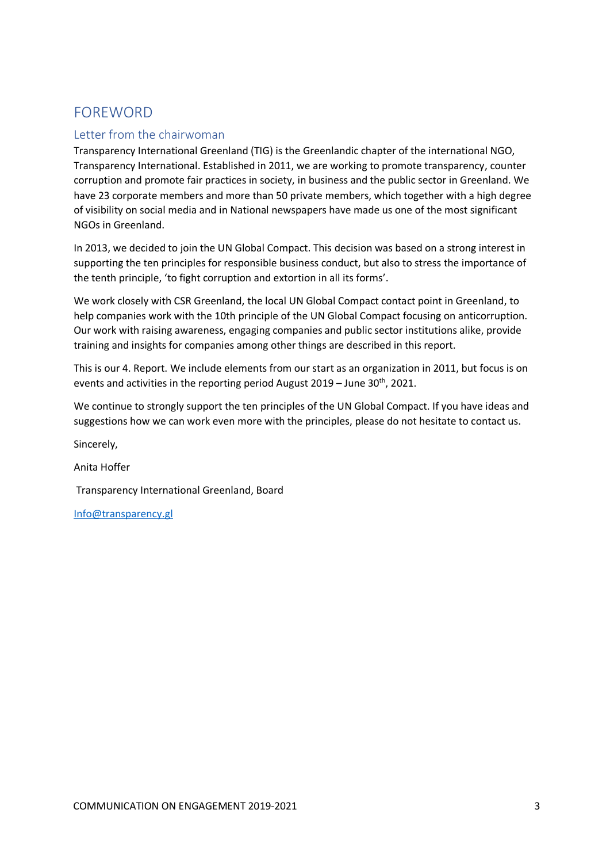# <span id="page-2-0"></span>FOREWORD

## <span id="page-2-1"></span>Letter from the chairwoman

Transparency International Greenland (TIG) is the Greenlandic chapter of the international NGO, Transparency International. Established in 2011, we are working to promote transparency, counter corruption and promote fair practices in society, in business and the public sector in Greenland. We have 23 corporate members and more than 50 private members, which together with a high degree of visibility on social media and in National newspapers have made us one of the most significant NGOs in Greenland.

In 2013, we decided to join the UN Global Compact. This decision was based on a strong interest in supporting the ten principles for responsible business conduct, but also to stress the importance of the tenth principle, 'to fight corruption and extortion in all its forms'.

We work closely with CSR Greenland, the local UN Global Compact contact point in Greenland, to help companies work with the 10th principle of the UN Global Compact focusing on anticorruption. Our work with raising awareness, engaging companies and public sector institutions alike, provide training and insights for companies among other things are described in this report.

This is our 4. Report. We include elements from our start as an organization in 2011, but focus is on events and activities in the reporting period August  $2019$  – June  $30<sup>th</sup>$ , 2021.

We continue to strongly support the ten principles of the UN Global Compact. If you have ideas and suggestions how we can work even more with the principles, please do not hesitate to contact us.

Sincerely,

Anita Hoffer

Transparency International Greenland, Board

[Info@transparency.gl](mailto:Info@transparency.gl)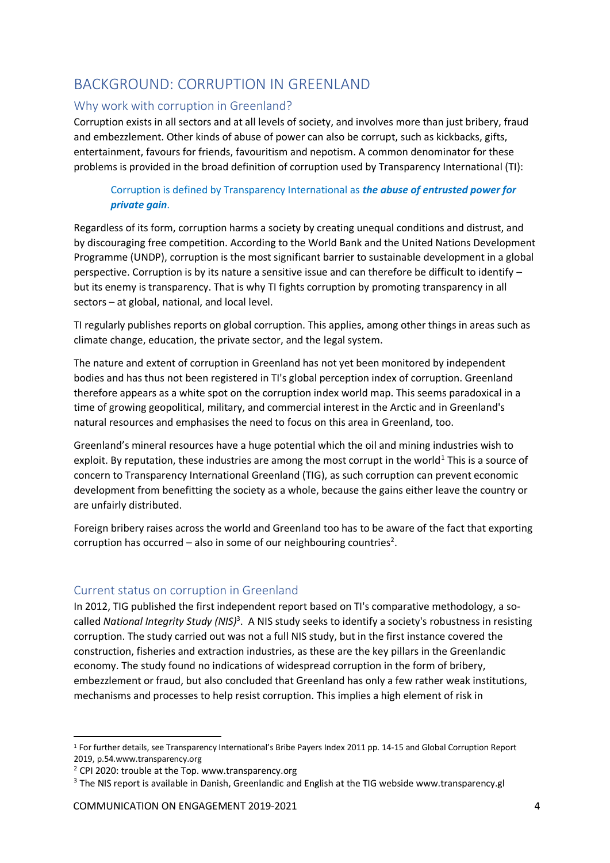# <span id="page-3-0"></span>BACKGROUND: CORRUPTION IN GREENLAND

## <span id="page-3-1"></span>Why work with corruption in Greenland?

Corruption exists in all sectors and at all levels of society, and involves more than just bribery, fraud and embezzlement. Other kinds of abuse of power can also be corrupt, such as kickbacks, gifts, entertainment, favours for friends, favouritism and nepotism. A common denominator for these problems is provided in the broad definition of corruption used by Transparency International (TI):

## Corruption is defined by Transparency International as *the abuse of entrusted power for private gain*.

Regardless of its form, corruption harms a society by creating unequal conditions and distrust, and by discouraging free competition. According to the World Bank and the United Nations Development Programme (UNDP), corruption is the most significant barrier to sustainable development in a global perspective. Corruption is by its nature a sensitive issue and can therefore be difficult to identify – but its enemy is transparency. That is why TI fights corruption by promoting transparency in all sectors – at global, national, and local level.

TI regularly publishes reports on global corruption. This applies, among other things in areas such as climate change, education, the private sector, and the legal system.

The nature and extent of corruption in Greenland has not yet been monitored by independent bodies and has thus not been registered in TI's global perception index of corruption. Greenland therefore appears as a white spot on the corruption index world map. This seems paradoxical in a time of growing geopolitical, military, and commercial interest in the Arctic and in Greenland's natural resources and emphasises the need to focus on this area in Greenland, too.

Greenland's mineral resources have a huge potential which the oil and mining industries wish to exploit. By reputation, these industries are among the most corrupt in the world<sup>1</sup> This is a source of concern to Transparency International Greenland (TIG), as such corruption can prevent economic development from benefitting the society as a whole, because the gains either leave the country or are unfairly distributed.

Foreign bribery raises across the world and Greenland too has to be aware of the fact that exporting corruption has occurred  $-$  also in some of our neighbouring countries<sup>2</sup>.

## <span id="page-3-2"></span>Current status on corruption in Greenland

In 2012, TIG published the first independent report based on TI's comparative methodology, a socalled *National Integrity Study (NIS)<sup>3</sup>.* A NIS study seeks to identify a society's robustness in resisting corruption. The study carried out was not a full NIS study, but in the first instance covered the construction, fisheries and extraction industries, as these are the key pillars in the Greenlandic economy. The study found no indications of widespread corruption in the form of bribery, embezzlement or fraud, but also concluded that Greenland has only a few rather weak institutions, mechanisms and processes to help resist corruption. This implies a high element of risk in

<sup>1</sup> For further details, see Transparency International's Bribe Payers Index 2011 pp. 14-15 and Global Corruption Report 2019, p.54.www.transparency.org

 $2$  CPI 2020: trouble at the Top. www.transparency.org

<sup>&</sup>lt;sup>3</sup> The NIS report is available in Danish, Greenlandic and English at the TIG webside www.transparency.gl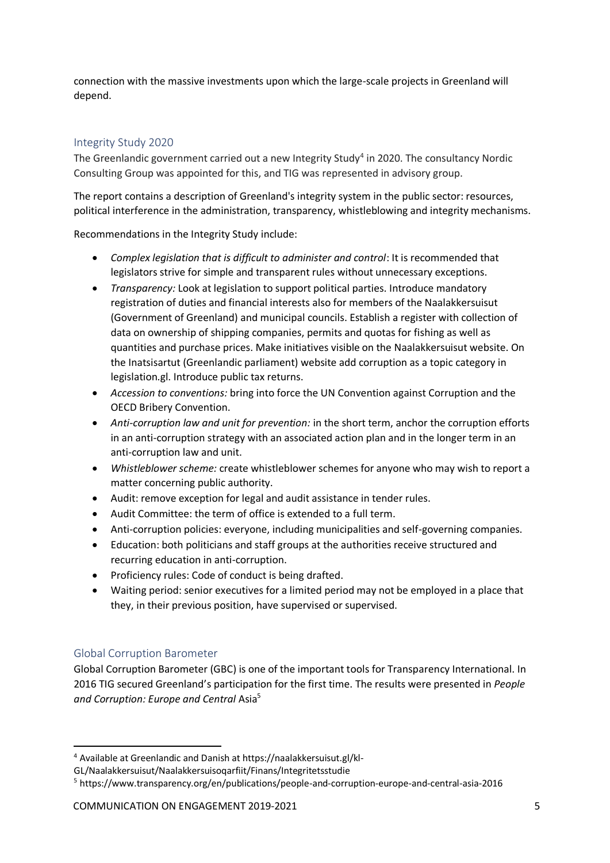connection with the massive investments upon which the large-scale projects in Greenland will depend.

## <span id="page-4-0"></span>Integrity Study 2020

The Greenlandic government carried out a new Integrity Study<sup>4</sup> in 2020. The consultancy Nordic Consulting Group was appointed for this, and TIG was represented in advisory group.

The report contains a description of Greenland's integrity system in the public sector: resources, political interference in the administration, transparency, whistleblowing and integrity mechanisms.

Recommendations in the Integrity Study include:

- *Complex legislation that is difficult to administer and control*: It is recommended that legislators strive for simple and transparent rules without unnecessary exceptions.
- *Transparency:* Look at legislation to support political parties. Introduce mandatory registration of duties and financial interests also for members of the Naalakkersuisut (Government of Greenland) and municipal councils. Establish a register with collection of data on ownership of shipping companies, permits and quotas for fishing as well as quantities and purchase prices. Make initiatives visible on the Naalakkersuisut website. On the Inatsisartut (Greenlandic parliament) website add corruption as a topic category in legislation.gl. Introduce public tax returns.
- *Accession to conventions:* bring into force the UN Convention against Corruption and the OECD Bribery Convention.
- *Anti-corruption law and unit for prevention:* in the short term, anchor the corruption efforts in an anti-corruption strategy with an associated action plan and in the longer term in an anti-corruption law and unit.
- *Whistleblower scheme:* create whistleblower schemes for anyone who may wish to report a matter concerning public authority.
- Audit: remove exception for legal and audit assistance in tender rules.
- Audit Committee: the term of office is extended to a full term.
- Anti-corruption policies: everyone, including municipalities and self-governing companies.
- Education: both politicians and staff groups at the authorities receive structured and recurring education in anti-corruption.
- Proficiency rules: Code of conduct is being drafted.
- Waiting period: senior executives for a limited period may not be employed in a place that they, in their previous position, have supervised or supervised.

## <span id="page-4-1"></span>Global Corruption Barometer

Global Corruption Barometer (GBC) is one of the important tools for Transparency International. In 2016 TIG secured Greenland's participation for the first time. The results were presented in *People and Corruption: Europe and Central* Asia<sup>5</sup>

<sup>4</sup> Available at Greenlandic and Danish at https://naalakkersuisut.gl/kl-

GL/Naalakkersuisut/Naalakkersuisoqarfiit/Finans/Integritetsstudie

<sup>5</sup> https://www.transparency.org/en/publications/people-and-corruption-europe-and-central-asia-2016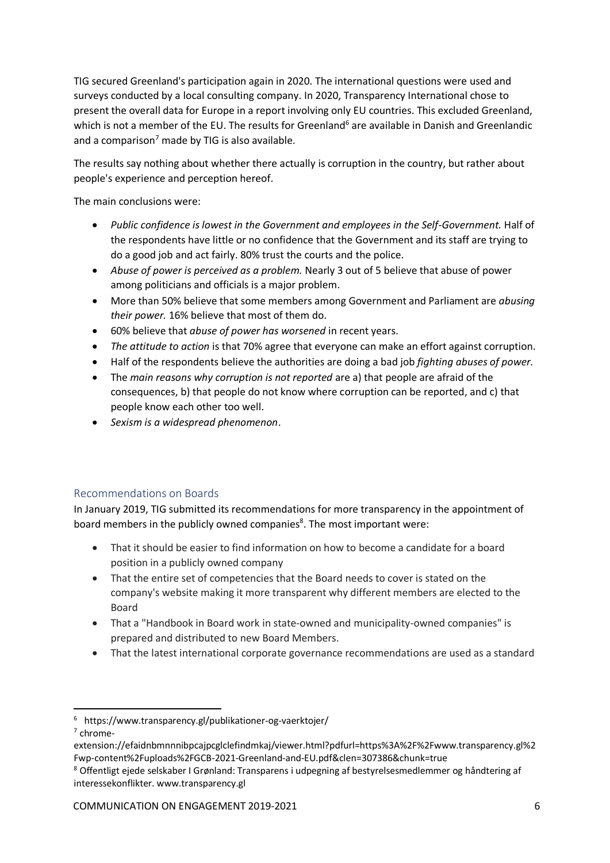TIG secured Greenland's participation again in 2020. The international questions were used and surveys conducted by a local consulting company. In 2020, Transparency International chose to present the overall data for Europe in a report involving only EU countries. This excluded Greenland, which is not a member of the EU. The results for Greenland<sup>6</sup> are available in Danish and Greenlandic and a comparison<sup>7</sup> made by TIG is also available.

The results say nothing about whether there actually is corruption in the country, but rather about people's experience and perception hereof.

The main conclusions were:

- *Public confidence is lowest in the Government and employees in the Self-Government.* Half of the respondents have little or no confidence that the Government and its staff are trying to do a good job and act fairly. 80% trust the courts and the police.
- *Abuse of power is perceived as a problem.* Nearly 3 out of 5 believe that abuse of power among politicians and officials is a major problem.
- More than 50% believe that some members among Government and Parliament are *abusing their power.* 16% believe that most of them do.
- 60% believe that *abuse of power has worsened* in recent years.
- *The attitude to action* is that 70% agree that everyone can make an effort against corruption.
- Half of the respondents believe the authorities are doing a bad job *fighting abuses of power.*
- The *main reasons why corruption is not reported* are a) that people are afraid of the consequences, b) that people do not know where corruption can be reported, and c) that people know each other too well.
- *Sexism is a widespread phenomenon*.

## <span id="page-5-0"></span>Recommendations on Boards

In January 2019, TIG submitted its recommendations for more transparency in the appointment of board members in the publicly owned companies<sup>8</sup>. The most important were:

- That it should be easier to find information on how to become a candidate for a board position in a publicly owned company
- That the entire set of competencies that the Board needs to cover is stated on the company's website making it more transparent why different members are elected to the Board
- That a "Handbook in Board work in state-owned and municipality-owned companies" is prepared and distributed to new Board Members.
- That the latest international corporate governance recommendations are used as a standard

7 chrome-

<sup>6</sup> https://www.transparency.gl/publikationer-og-vaerktojer/

extension://efaidnbmnnnibpcajpcglclefindmkaj/viewer.html?pdfurl=https%3A%2F%2Fwww.transparency.gl%2 Fwp-content%2Fuploads%2FGCB-2021-Greenland-and-EU.pdf&clen=307386&chunk=true

<sup>8</sup> Offentligt ejede selskaber I Grønland: Transparens i udpegning af bestyrelsesmedlemmer og håndtering af interessekonflikter. www.transparency.gl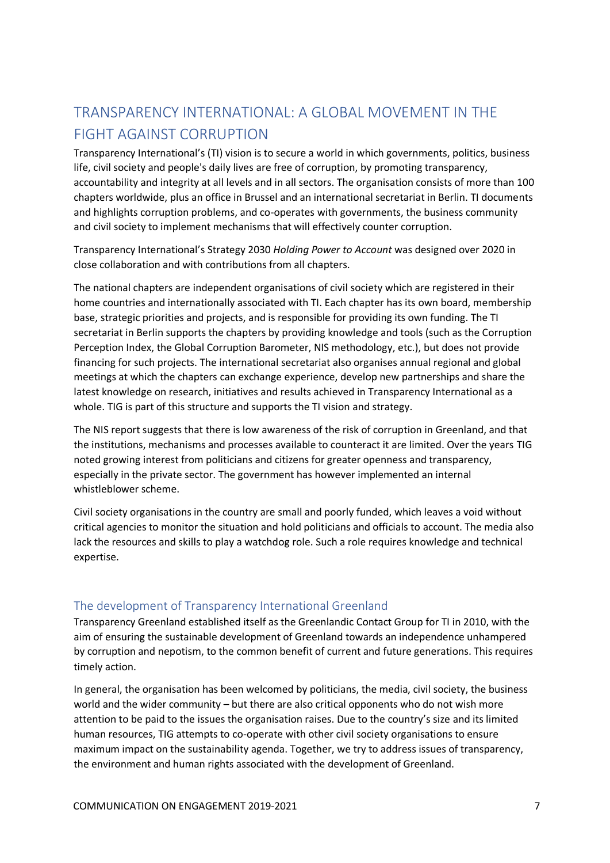# <span id="page-6-0"></span>TRANSPARENCY INTERNATIONAL: A GLOBAL MOVEMENT IN THE FIGHT AGAINST CORRUPTION

Transparency International's (TI) vision is to secure a world in which governments, politics, business life, civil society and people's daily lives are free of corruption, by promoting transparency, accountability and integrity at all levels and in all sectors. The organisation consists of more than 100 chapters worldwide, plus an office in Brussel and an international secretariat in Berlin. TI documents and highlights corruption problems, and co-operates with governments, the business community and civil society to implement mechanisms that will effectively counter corruption.

Transparency International's Strategy 2030 *Holding Power to Account* was designed over 2020 in close collaboration and with contributions from all chapters.

The national chapters are independent organisations of civil society which are registered in their home countries and internationally associated with TI. Each chapter has its own board, membership base, strategic priorities and projects, and is responsible for providing its own funding. The TI secretariat in Berlin supports the chapters by providing knowledge and tools (such as the Corruption Perception Index, the Global Corruption Barometer, NIS methodology, etc.), but does not provide financing for such projects. The international secretariat also organises annual regional and global meetings at which the chapters can exchange experience, develop new partnerships and share the latest knowledge on research, initiatives and results achieved in Transparency International as a whole. TIG is part of this structure and supports the TI vision and strategy.

The NIS report suggests that there is low awareness of the risk of corruption in Greenland, and that the institutions, mechanisms and processes available to counteract it are limited. Over the years TIG noted growing interest from politicians and citizens for greater openness and transparency, especially in the private sector. The government has however implemented an internal whistleblower scheme.

Civil society organisations in the country are small and poorly funded, which leaves a void without critical agencies to monitor the situation and hold politicians and officials to account. The media also lack the resources and skills to play a watchdog role. Such a role requires knowledge and technical expertise.

## <span id="page-6-1"></span>The development of Transparency International Greenland

Transparency Greenland established itself as the Greenlandic Contact Group for TI in 2010, with the aim of ensuring the sustainable development of Greenland towards an independence unhampered by corruption and nepotism, to the common benefit of current and future generations. This requires timely action.

In general, the organisation has been welcomed by politicians, the media, civil society, the business world and the wider community – but there are also critical opponents who do not wish more attention to be paid to the issues the organisation raises. Due to the country's size and its limited human resources, TIG attempts to co-operate with other civil society organisations to ensure maximum impact on the sustainability agenda. Together, we try to address issues of transparency, the environment and human rights associated with the development of Greenland.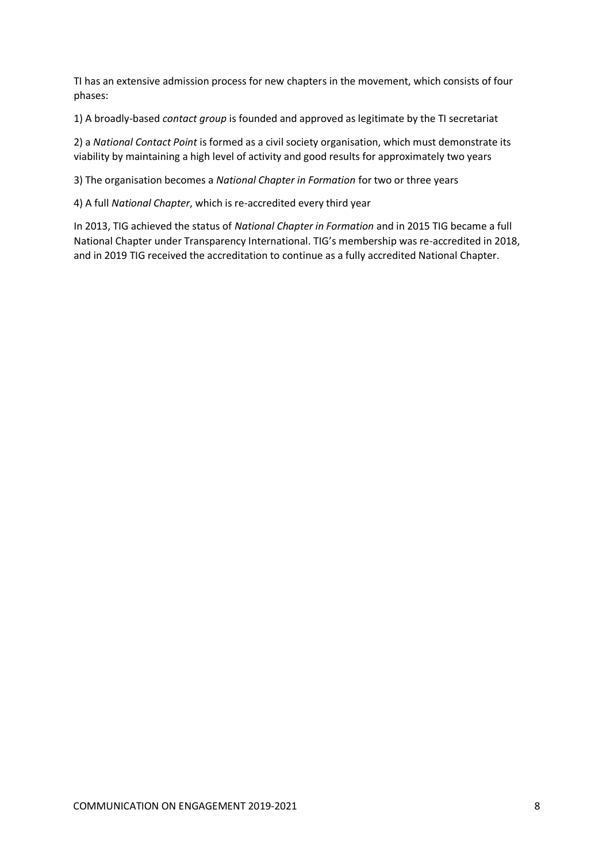TI has an extensive admission process for new chapters in the movement, which consists of four phases:

1) A broadly-based *contact group* is founded and approved as legitimate by the TI secretariat

2) a *National Contact Point* is formed as a civil society organisation, which must demonstrate its viability by maintaining a high level of activity and good results for approximately two years

3) The organisation becomes a *National Chapter in Formation* for two or three years

4) A full *National Chapter*, which is re-accredited every third year

In 2013, TIG achieved the status of *National Chapter in Formation* and in 2015 TIG became a full National Chapter under Transparency International. TIG's membership was re-accredited in 2018, and in 2019 TIG received the accreditation to continue as a fully accredited National Chapter.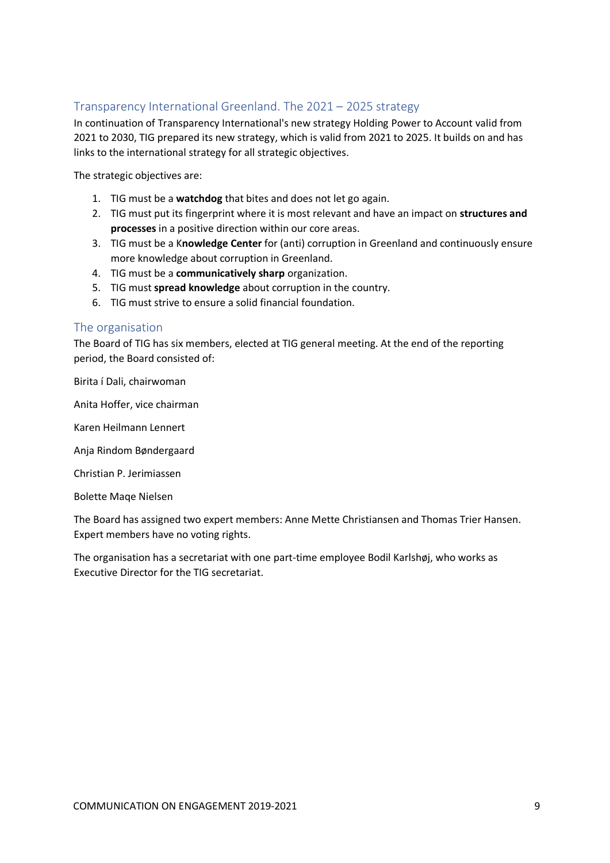## <span id="page-8-0"></span>Transparency International Greenland. The 2021 – 2025 strategy

In continuation of Transparency International's new strategy Holding Power to Account valid from 2021 to 2030, TIG prepared its new strategy, which is valid from 2021 to 2025. It builds on and has links to the international strategy for all strategic objectives.

The strategic objectives are:

- 1. TIG must be a **watchdog** that bites and does not let go again.
- 2. TIG must put its fingerprint where it is most relevant and have an impact on **structures and processes** in a positive direction within our core areas.
- 3. TIG must be a K**nowledge Center** for (anti) corruption in Greenland and continuously ensure more knowledge about corruption in Greenland.
- 4. TIG must be a **communicatively sharp** organization.
- 5. TIG must **spread knowledge** about corruption in the country.
- 6. TIG must strive to ensure a solid financial foundation.

#### <span id="page-8-1"></span>The organisation

The Board of TIG has six members, elected at TIG general meeting. At the end of the reporting period, the Board consisted of:

Birita í Dali, chairwoman

Anita Hoffer, vice chairman

Karen Heilmann Lennert

Anja Rindom Bøndergaard

Christian P. Jerimiassen

Bolette Maqe Nielsen

The Board has assigned two expert members: Anne Mette Christiansen and Thomas Trier Hansen. Expert members have no voting rights.

The organisation has a secretariat with one part-time employee Bodil Karlshøj, who works as Executive Director for the TIG secretariat.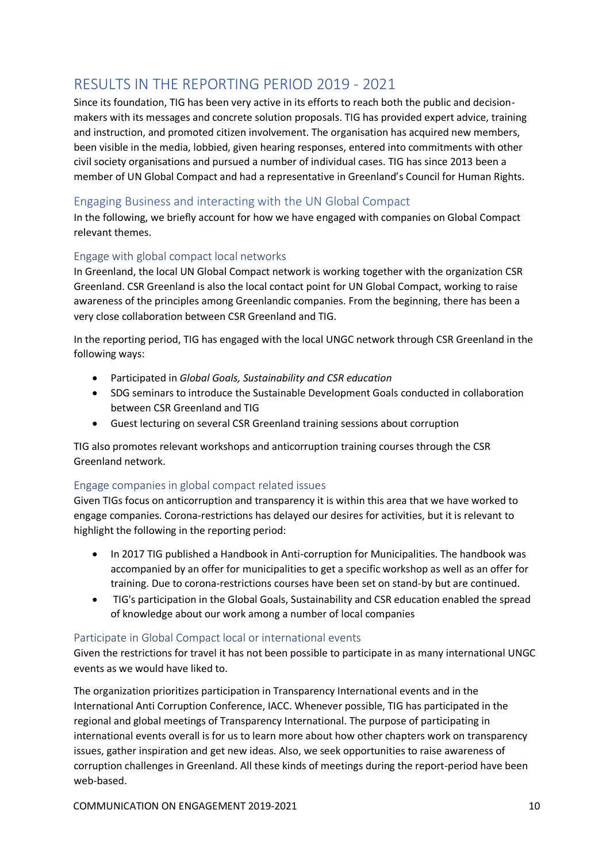# <span id="page-9-0"></span>RESULTS IN THE REPORTING PERIOD 2019 - 2021

Since its foundation, TIG has been very active in its efforts to reach both the public and decisionmakers with its messages and concrete solution proposals. TIG has provided expert advice, training and instruction, and promoted citizen involvement. The organisation has acquired new members, been visible in the media, lobbied, given hearing responses, entered into commitments with other civil society organisations and pursued a number of individual cases. TIG has since 2013 been a member of UN Global Compact and had a representative in Greenland's Council for Human Rights.

## <span id="page-9-1"></span>Engaging Business and interacting with the UN Global Compact

In the following, we briefly account for how we have engaged with companies on Global Compact relevant themes.

## <span id="page-9-2"></span>Engage with global compact local networks

In Greenland, the local UN Global Compact network is working together with the organization CSR Greenland. CSR Greenland is also the local contact point for UN Global Compact, working to raise awareness of the principles among Greenlandic companies. From the beginning, there has been a very close collaboration between CSR Greenland and TIG.

In the reporting period, TIG has engaged with the local UNGC network through CSR Greenland in the following ways:

- Participated in *Global Goals, Sustainability and CSR education*
- SDG seminars to introduce the Sustainable Development Goals conducted in collaboration between CSR Greenland and TIG
- Guest lecturing on several CSR Greenland training sessions about corruption

TIG also promotes relevant workshops and anticorruption training courses through the CSR Greenland network.

## <span id="page-9-3"></span>Engage companies in global compact related issues

Given TIGs focus on anticorruption and transparency it is within this area that we have worked to engage companies. Corona-restrictions has delayed our desires for activities, but it is relevant to highlight the following in the reporting period:

- In 2017 TIG published a Handbook in Anti-corruption for Municipalities. The handbook was accompanied by an offer for municipalities to get a specific workshop as well as an offer for training. Due to corona-restrictions courses have been set on stand-by but are continued.
- TIG's participation in the Global Goals, Sustainability and CSR education enabled the spread of knowledge about our work among a number of local companies

## <span id="page-9-4"></span>Participate in Global Compact local or international events

Given the restrictions for travel it has not been possible to participate in as many international UNGC events as we would have liked to.

The organization prioritizes participation in Transparency International events and in the International Anti Corruption Conference, IACC. Whenever possible, TIG has participated in the regional and global meetings of Transparency International. The purpose of participating in international events overall is for us to learn more about how other chapters work on transparency issues, gather inspiration and get new ideas. Also, we seek opportunities to raise awareness of corruption challenges in Greenland. All these kinds of meetings during the report-period have been web-based.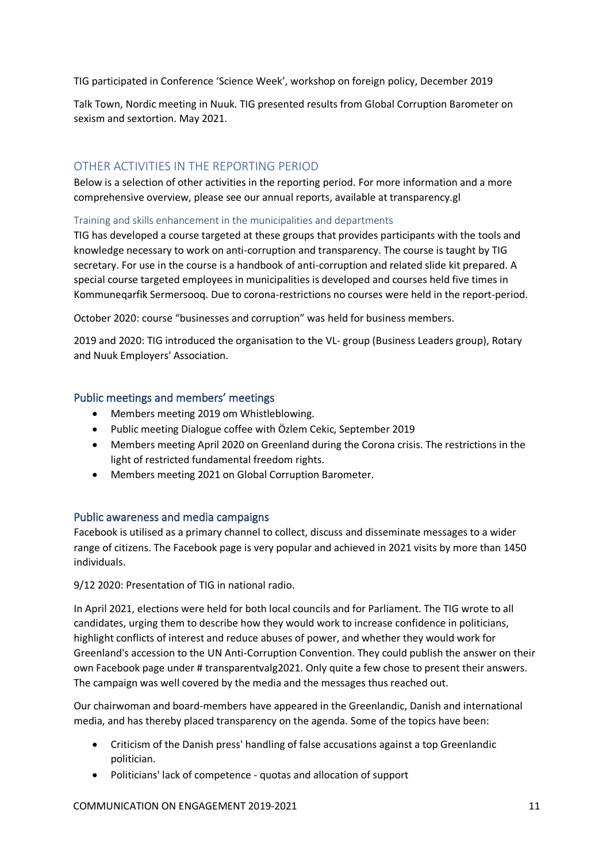TIG participated in Conference 'Science Week', workshop on foreign policy, December 2019

Talk Town, Nordic meeting in Nuuk. TIG presented results from Global Corruption Barometer on sexism and sextortion. May 2021.

## <span id="page-10-0"></span>OTHER ACTIVITIES IN THE REPORTING PERIOD

Below is a selection of other activities in the reporting period. For more information and a more comprehensive overview, please see our annual reports, available at transparency.gl

#### <span id="page-10-1"></span>Training and skills enhancement in the municipalities and departments

TIG has developed a course targeted at these groups that provides participants with the tools and knowledge necessary to work on anti-corruption and transparency. The course is taught by TIG secretary. For use in the course is a handbook of anti-corruption and related slide kit prepared. A special course targeted employees in municipalities is developed and courses held five times in Kommuneqarfik Sermersooq. Due to corona-restrictions no courses were held in the report-period.

October 2020: course "businesses and corruption" was held for business members.

2019 and 2020: TIG introduced the organisation to the VL- group (Business Leaders group), Rotary and Nuuk Employers' Association.

## <span id="page-10-2"></span>Public meetings and members' meetings

- Members meeting 2019 om Whistleblowing.
- Public meeting Dialogue coffee with Özlem Cekic, September 2019
- Members meeting April 2020 on Greenland during the Corona crisis. The restrictions in the light of restricted fundamental freedom rights.
- Members meeting 2021 on Global Corruption Barometer.

## <span id="page-10-3"></span>Public awareness and media campaigns

Facebook is utilised as a primary channel to collect, discuss and disseminate messages to a wider range of citizens. The Facebook page is very popular and achieved in 2021 visits by more than 1450 individuals.

9/12 2020: Presentation of TIG in national radio.

In April 2021, elections were held for both local councils and for Parliament. The TIG wrote to all candidates, urging them to describe how they would work to increase confidence in politicians, highlight conflicts of interest and reduce abuses of power, and whether they would work for Greenland's accession to the UN Anti-Corruption Convention. They could publish the answer on their own Facebook page under # transparentvalg2021. Only quite a few chose to present their answers. The campaign was well covered by the media and the messages thus reached out.

Our chairwoman and board-members have appeared in the Greenlandic, Danish and international media, and has thereby placed transparency on the agenda. Some of the topics have been:

- Criticism of the Danish press' handling of false accusations against a top Greenlandic politician.
- Politicians' lack of competence quotas and allocation of support